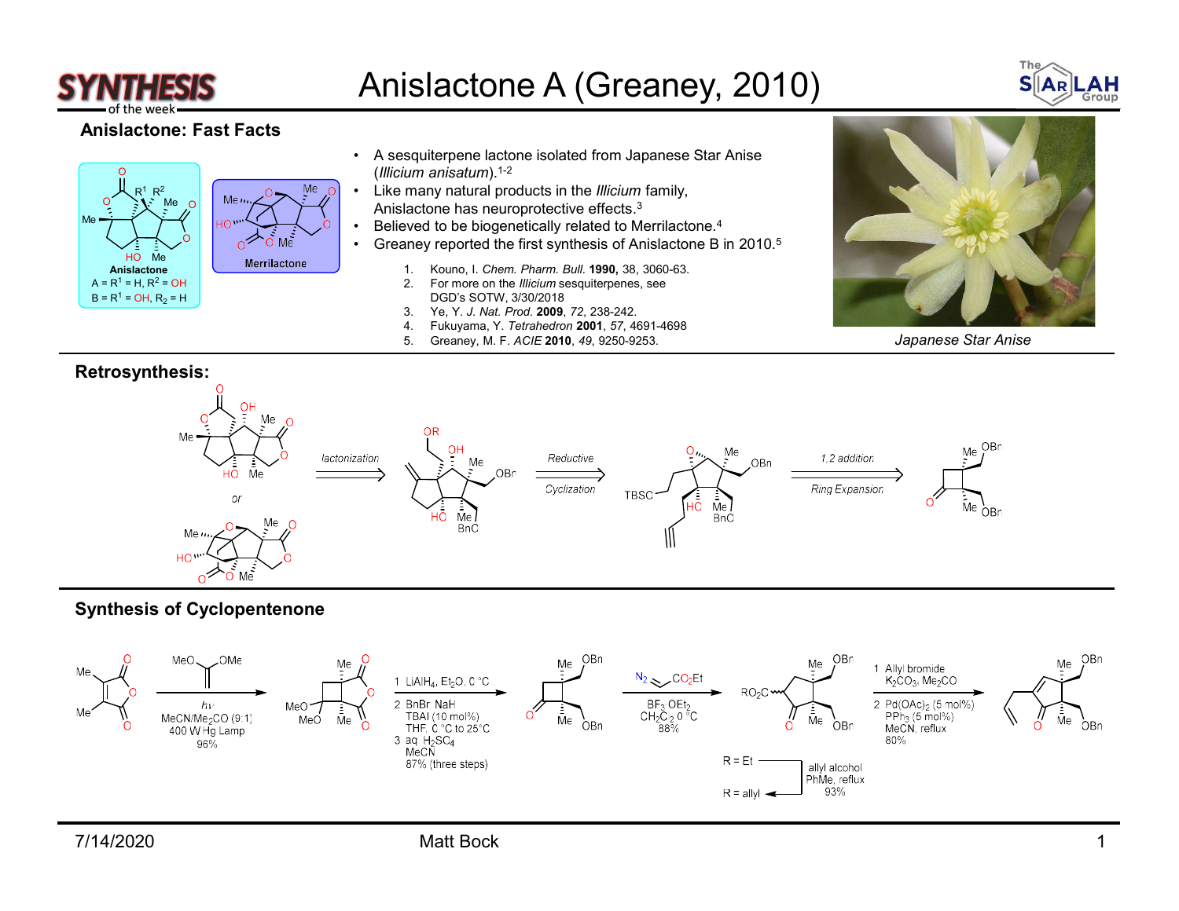

## Anislactone A (Greaney, 2010)<br>A sesquiterpene lactone isolated from Japanese Star Anise<br>(Illicium anisatum).<sup>1-2</sup>



## Anislactone: Fast Facts



- $\Omega$  (Illicium anisatum).<sup>1-2</sup>
	-
	-
	- $\overrightarrow{Me}$   $\bullet$  Greaney reported the first synthesis of Anislactone B in 2010.<sup>5</sup>
- Anislactone Merrillactone 1. Kouno, I. Chem. Pharm. Bull. 1990, 38, 3060-63.
	-
	-
	-
	-



Japanese Star Anise



## Synthesis of Cyclopentenone